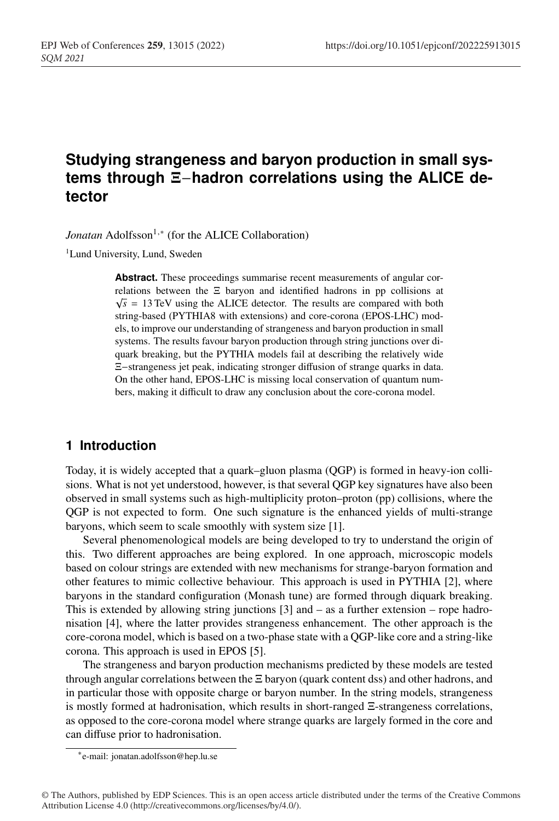# **Studying strangeness and baryon production in small systems through** Ξ−**hadron correlations using the ALICE detector**

*Jonatan* Adolfsson<sup>1,∗</sup> (for the ALICE Collaboration)

<sup>1</sup>Lund University, Lund, Sweden

Abstract. These proceedings summarise recent measurements of angular correlations between the Ξ baryon and identified hadrons in pp collisions at  $\sqrt{s}$  = 13 TeV using the ALICE detector. The results are compared with both string-based (PYTHIA8 with extensions) and core-corona (EPOS-LHC) models, to improve our understanding of strangeness and baryon production in small systems. The results favour baryon production through string junctions over diquark breaking, but the PYTHIA models fail at describing the relatively wide Ξ−strangeness jet peak, indicating stronger diffusion of strange quarks in data. On the other hand, EPOS-LHC is missing local conservation of quantum numbers, making it difficult to draw any conclusion about the core-corona model.

# **1 Introduction**

Today, it is widely accepted that a quark–gluon plasma (QGP) is formed in heavy-ion collisions. What is not yet understood, however, is that several QGP key signatures have also been observed in small systems such as high-multiplicity proton–proton (pp) collisions, where the QGP is not expected to form. One such signature is the enhanced yields of multi-strange baryons, which seem to scale smoothly with system size [1].

Several phenomenological models are being developed to try to understand the origin of this. Two different approaches are being explored. In one approach, microscopic models based on colour strings are extended with new mechanisms for strange-baryon formation and other features to mimic collective behaviour. This approach is used in PYTHIA [2], where baryons in the standard configuration (Monash tune) are formed through diquark breaking. This is extended by allowing string junctions  $[3]$  and  $-$  as a further extension  $-$  rope hadronisation [4], where the latter provides strangeness enhancement. The other approach is the core-corona model, which is based on a two-phase state with a QGP-like core and a string-like corona. This approach is used in EPOS [5].

The strangeness and baryon production mechanisms predicted by these models are tested through angular correlations between the Ξ baryon (quark content dss) and other hadrons, and in particular those with opposite charge or baryon number. In the string models, strangeness is mostly formed at hadronisation, which results in short-ranged Ξ-strangeness correlations, as opposed to the core-corona model where strange quarks are largely formed in the core and can diffuse prior to hadronisation.

<sup>∗</sup>e-mail: jonatan.adolfsson@hep.lu.se

<sup>©</sup> The Authors, published by EDP Sciences. This is an open access article distributed under the terms of the Creative Commons Attribution License 4.0 (http://creativecommons.org/licenses/by/4.0/).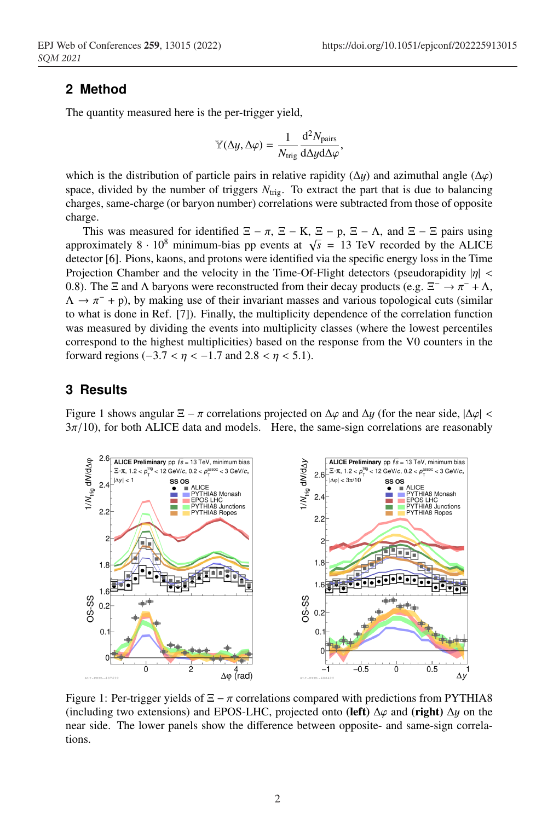### **2 Method**

The quantity measured here is the per-trigger yield,

$$
\mathbb{Y}(\Delta y, \Delta \varphi) = \frac{1}{N_{\text{trig}}} \frac{\mathrm{d}^2 N_{\text{pairs}}}{\mathrm{d} \Delta y \mathrm{d} \Delta \varphi},
$$

which is the distribution of particle pairs in relative rapidity ( $\Delta y$ ) and azimuthal angle ( $\Delta \varphi$ ) space, divided by the number of triggers  $N_{\text{trig}}$ . To extract the part that is due to balancing charges, same-charge (or baryon number) correlations were subtracted from those of opposite charge.

This was measured for identified  $\Xi - \pi$ ,  $\Xi - K$ ,  $\Xi - p$ ,  $\Xi - \Lambda$ , and  $\Xi - \Xi$  pairs using approximately 8 · 10<sup>8</sup> minimum-bias pp events at  $\sqrt{s}$  = 13 TeV recorded by the ALICE detector [6]. Pions, kaons, and protons were identified via the specific energy loss in the Time Projection Chamber and the velocity in the Time-Of-Flight detectors (pseudorapidity  $|\eta|$  < 0.8). The  $\Xi$  and  $\Lambda$  baryons were reconstructed from their decay products (e.g.  $\Xi^- \to \pi^- + \Lambda$ ,  $\Lambda \to \pi^-$  + p), by making use of their invariant masses and various topological cuts (similar to what is done in Ref. [7]). Finally, the multiplicity dependence of the correlation function was measured by dividing the events into multiplicity classes (where the lowest percentiles correspond to the highest multiplicities) based on the response from the V0 counters in the forward regions  $(-3.7 < \eta < -1.7$  and  $2.8 < \eta < 5.1$ ).

## **3 Results**

Figure 1 shows angular  $\Xi - \pi$  correlations projected on  $\Delta \varphi$  and  $\Delta y$  (for the near side,  $|\Delta \varphi|$  <  $3\pi/10$ ), for both ALICE data and models. Here, the same-sign correlations are reasonably



Figure 1: Per-trigger yields of  $\Xi - \pi$  correlations compared with predictions from PYTHIA8 (including two extensions) and EPOS-LHC, projected onto (left)  $\Delta\varphi$  and (right)  $\Delta y$  on the near side. The lower panels show the difference between opposite- and same-sign correlations.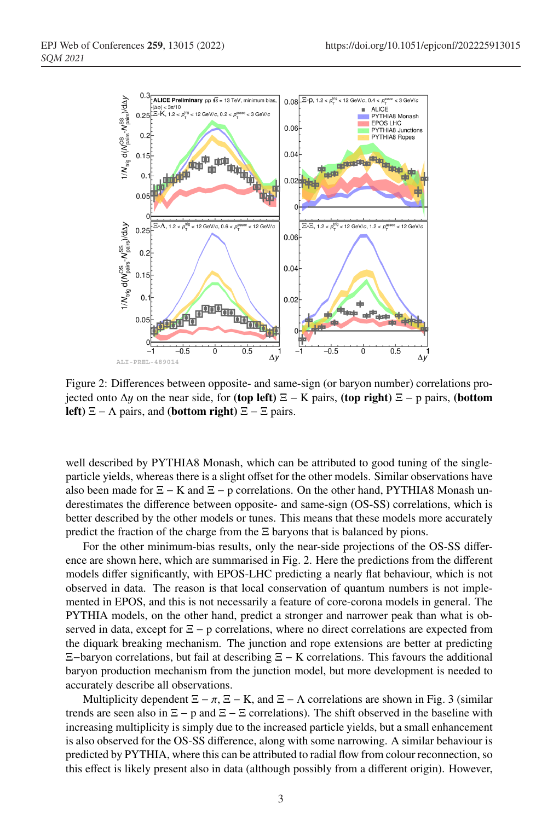

Figure 2: Differences between opposite- and same-sign (or baryon number) correlations projected onto  $\Delta y$  on the near side, for (top left)  $\Xi$  – K pairs, (top right)  $\Xi$  – p pairs, (bottom left)  $\Xi$  –  $\Lambda$  pairs, and (bottom right)  $\Xi$  –  $\Xi$  pairs.

well described by PYTHIA8 Monash, which can be attributed to good tuning of the singleparticle yields, whereas there is a slight offset for the other models. Similar observations have also been made for  $\Xi$  – K and  $\Xi$  – p correlations. On the other hand, PYTHIA8 Monash underestimates the difference between opposite- and same-sign (OS-SS) correlations, which is better described by the other models or tunes. This means that these models more accurately predict the fraction of the charge from the  $\Xi$  baryons that is balanced by pions.

For the other minimum-bias results, only the near-side projections of the OS-SS difference are shown here, which are summarised in Fig. 2. Here the predictions from the different models differ significantly, with EPOS-LHC predicting a nearly flat behaviour, which is not observed in data. The reason is that local conservation of quantum numbers is not implemented in EPOS, and this is not necessarily a feature of core-corona models in general. The PYTHIA models, on the other hand, predict a stronger and narrower peak than what is observed in data, except for  $\Xi$  – p correlations, where no direct correlations are expected from the diquark breaking mechanism. The junction and rope extensions are better at predicting Ξ−baryon correlations, but fail at describing Ξ − K correlations. This favours the additional baryon production mechanism from the junction model, but more development is needed to accurately describe all observations.

Multiplicity dependent  $\Xi - \pi$ ,  $\Xi - K$ , and  $\Xi - \Lambda$  correlations are shown in Fig. 3 (similar trends are seen also in  $\Xi$  – p and  $\Xi$  –  $\Xi$  correlations). The shift observed in the baseline with increasing multiplicity is simply due to the increased particle yields, but a small enhancement is also observed for the OS-SS difference, along with some narrowing. A similar behaviour is predicted by PYTHIA, where this can be attributed to radial flow from colour reconnection, so this effect is likely present also in data (although possibly from a different origin). However,